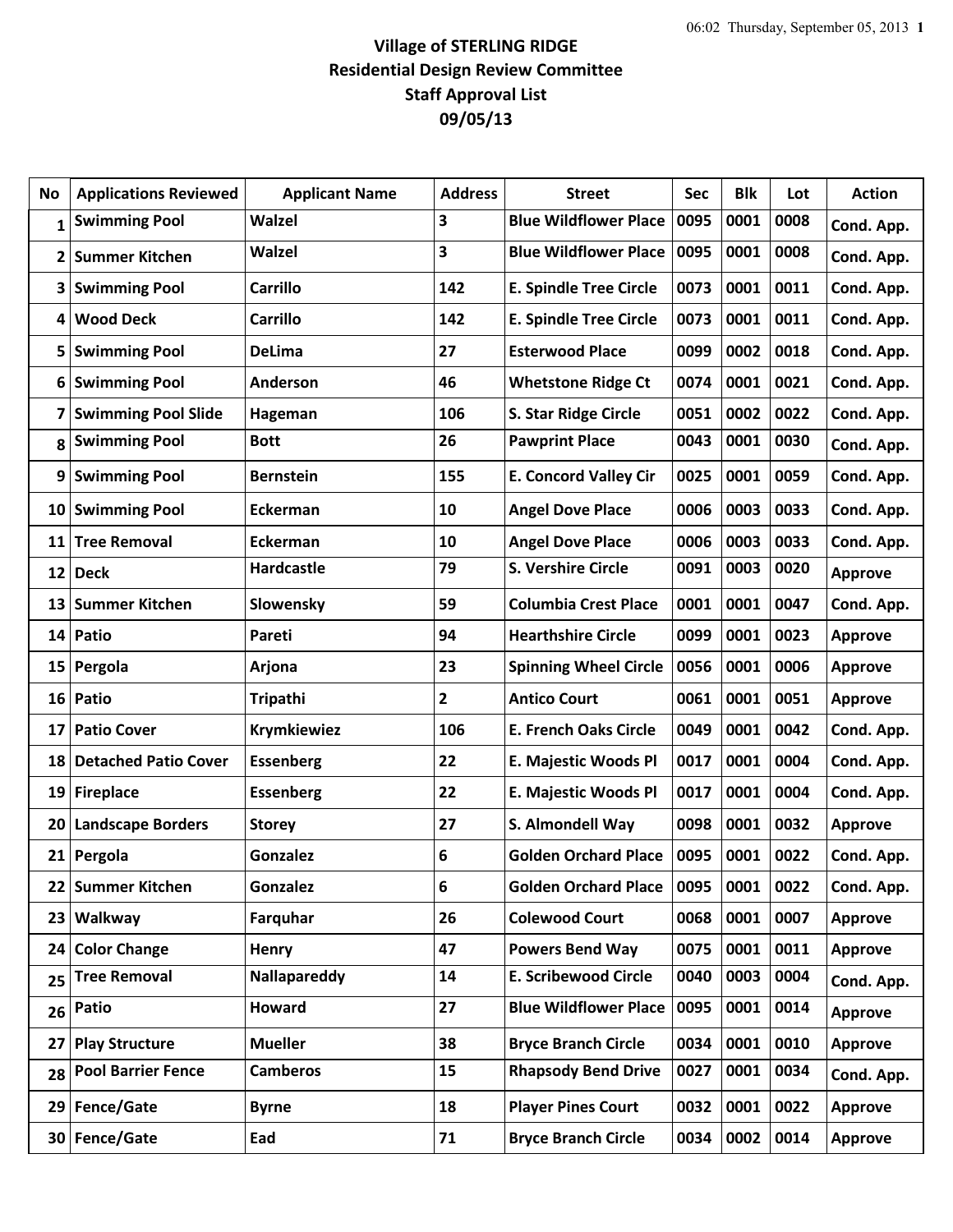## **Village of STERLING RIDGE Residential Design Review Committee Staff Approval List 09/05/13**

| No              | <b>Applications Reviewed</b> | <b>Applicant Name</b> | <b>Address</b> | <b>Street</b>                 | <b>Sec</b> | <b>Blk</b> | Lot  | <b>Action</b>  |
|-----------------|------------------------------|-----------------------|----------------|-------------------------------|------------|------------|------|----------------|
| 1               | <b>Swimming Pool</b>         | <b>Walzel</b>         | 3              | <b>Blue Wildflower Place</b>  | 0095       | 0001       | 0008 | Cond. App.     |
| 2               | <b>Summer Kitchen</b>        | Walzel                | 3              | <b>Blue Wildflower Place</b>  | 0095       | 0001       | 0008 | Cond. App.     |
| 3               | <b>Swimming Pool</b>         | <b>Carrillo</b>       | 142            | <b>E. Spindle Tree Circle</b> | 0073       | 0001       | 0011 | Cond. App.     |
| 4               | <b>Wood Deck</b>             | <b>Carrillo</b>       | 142            | <b>E. Spindle Tree Circle</b> | 0073       | 0001       | 0011 | Cond. App.     |
| 5               | <b>Swimming Pool</b>         | <b>DeLima</b>         | 27             | <b>Esterwood Place</b>        | 0099       | 0002       | 0018 | Cond. App.     |
| 6               | <b>Swimming Pool</b>         | Anderson              | 46             | <b>Whetstone Ridge Ct</b>     | 0074       | 0001       | 0021 | Cond. App.     |
| 7               | <b>Swimming Pool Slide</b>   | Hageman               | 106            | S. Star Ridge Circle          | 0051       | 0002       | 0022 | Cond. App.     |
| 8               | <b>Swimming Pool</b>         | <b>Bott</b>           | 26             | <b>Pawprint Place</b>         | 0043       | 0001       | 0030 | Cond. App.     |
| 9               | <b>Swimming Pool</b>         | <b>Bernstein</b>      | 155            | <b>E. Concord Valley Cir</b>  | 0025       | 0001       | 0059 | Cond. App.     |
| 10              | <b>Swimming Pool</b>         | Eckerman              | 10             | <b>Angel Dove Place</b>       | 0006       | 0003       | 0033 | Cond. App.     |
| 11              | <b>Tree Removal</b>          | <b>Eckerman</b>       | 10             | <b>Angel Dove Place</b>       | 0006       | 0003       | 0033 | Cond. App.     |
| 12              | <b>Deck</b>                  | <b>Hardcastle</b>     | 79             | S. Vershire Circle            | 0091       | 0003       | 0020 | <b>Approve</b> |
| 13              | <b>Summer Kitchen</b>        | Slowensky             | 59             | <b>Columbia Crest Place</b>   | 0001       | 0001       | 0047 | Cond. App.     |
| 14 <sup>1</sup> | Patio                        | Pareti                | 94             | <b>Hearthshire Circle</b>     | 0099       | 0001       | 0023 | <b>Approve</b> |
| 15              | Pergola                      | Arjona                | 23             | <b>Spinning Wheel Circle</b>  | 0056       | 0001       | 0006 | <b>Approve</b> |
| 16              | Patio                        | <b>Tripathi</b>       | $\mathbf{2}$   | <b>Antico Court</b>           | 0061       | 0001       | 0051 | Approve        |
| 17              | <b>Patio Cover</b>           | <b>Krymkiewiez</b>    | 106            | <b>E. French Oaks Circle</b>  | 0049       | 0001       | 0042 | Cond. App.     |
| 18              | <b>Detached Patio Cover</b>  | <b>Essenberg</b>      | 22             | E. Majestic Woods Pl          | 0017       | 0001       | 0004 | Cond. App.     |
| 19              | <b>Fireplace</b>             | <b>Essenberg</b>      | 22             | E. Majestic Woods Pl          | 0017       | 0001       | 0004 | Cond. App.     |
| 20              | <b>Landscape Borders</b>     | <b>Storey</b>         | 27             | S. Almondell Way              | 0098       | 0001       | 0032 | <b>Approve</b> |
|                 | 21 Pergola                   | <b>Gonzalez</b>       | 6              | <b>Golden Orchard Place</b>   | 0095       | 0001       | 0022 | Cond. App.     |
| 22              | <b>Summer Kitchen</b>        | <b>Gonzalez</b>       | 6              | <b>Golden Orchard Place</b>   | 0095       | 0001       | 0022 | Cond. App.     |
| 23              | Walkway                      | Farquhar              | 26             | <b>Colewood Court</b>         | 0068       | 0001       | 0007 | Approve        |
| 24              | <b>Color Change</b>          | Henry                 | 47             | <b>Powers Bend Way</b>        | 0075       | 0001       | 0011 | Approve        |
| 25              | <b>Tree Removal</b>          | Nallapareddy          | 14             | <b>E. Scribewood Circle</b>   | 0040       | 0003       | 0004 | Cond. App.     |
| 26              | Patio                        | <b>Howard</b>         | 27             | <b>Blue Wildflower Place</b>  | 0095       | 0001       | 0014 | Approve        |
| 27              | <b>Play Structure</b>        | <b>Mueller</b>        | 38             | <b>Bryce Branch Circle</b>    | 0034       | 0001       | 0010 | Approve        |
| 28              | <b>Pool Barrier Fence</b>    | <b>Camberos</b>       | 15             | <b>Rhapsody Bend Drive</b>    | 0027       | 0001       | 0034 | Cond. App.     |
| 29              | Fence/Gate                   | <b>Byrne</b>          | 18             | <b>Player Pines Court</b>     | 0032       | 0001       | 0022 | <b>Approve</b> |
| 30              | Fence/Gate                   | Ead                   | 71             | <b>Bryce Branch Circle</b>    | 0034       | 0002       | 0014 | <b>Approve</b> |